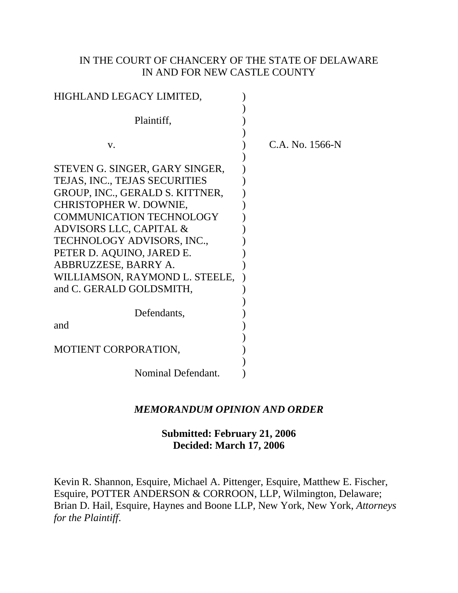## IN THE COURT OF CHANCERY OF THE STATE OF DELAWARE IN AND FOR NEW CASTLE COUNTY

| HIGHLAND LEGACY LIMITED,                                                                                                                                                                                                                                                                                                                           |                 |
|----------------------------------------------------------------------------------------------------------------------------------------------------------------------------------------------------------------------------------------------------------------------------------------------------------------------------------------------------|-----------------|
| Plaintiff,                                                                                                                                                                                                                                                                                                                                         |                 |
| V.                                                                                                                                                                                                                                                                                                                                                 | C.A. No. 1566-N |
| STEVEN G. SINGER, GARY SINGER,<br>TEJAS, INC., TEJAS SECURITIES<br>GROUP, INC., GERALD S. KITTNER,<br><b>CHRISTOPHER W. DOWNIE,</b><br><b>COMMUNICATION TECHNOLOGY</b><br>ADVISORS LLC, CAPITAL &<br>TECHNOLOGY ADVISORS, INC.,<br>PETER D. AQUINO, JARED E.<br>ABBRUZZESE, BARRY A.<br>WILLIAMSON, RAYMOND L. STEELE,<br>and C. GERALD GOLDSMITH, |                 |
| Defendants,<br>and                                                                                                                                                                                                                                                                                                                                 |                 |
| MOTIENT CORPORATION,                                                                                                                                                                                                                                                                                                                               |                 |
| Nominal Defendant.                                                                                                                                                                                                                                                                                                                                 |                 |

# *MEMORANDUM OPINION AND ORDER*

# **Submitted: February 21, 2006 Decided: March 17, 2006**

Kevin R. Shannon, Esquire, Michael A. Pittenger, Esquire, Matthew E. Fischer, Esquire, POTTER ANDERSON & CORROON, LLP, Wilmington, Delaware; Brian D. Hail, Esquire, Haynes and Boone LLP, New York, New York, *Attorneys for the Plaintiff*.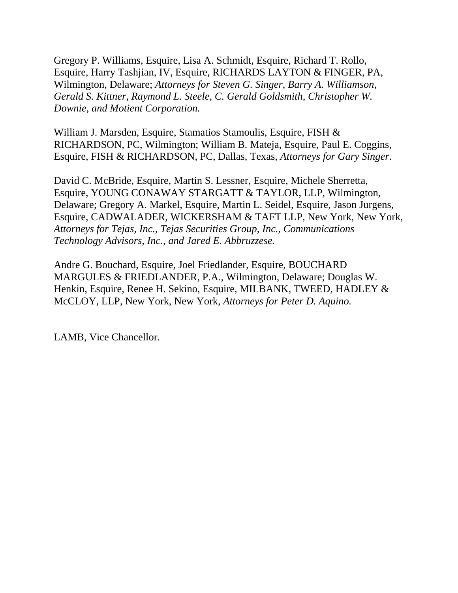Gregory P. Williams, Esquire, Lisa A. Schmidt, Esquire, Richard T. Rollo, Esquire, Harry Tashjian, IV, Esquire, RICHARDS LAYTON & FINGER, PA, Wilmington, Delaware; *Attorneys for Steven G. Singer, Barry A. Williamson, Gerald S. Kittner, Raymond L. Steele, C. Gerald Goldsmith, Christopher W. Downie, and Motient Corporation.*

William J. Marsden, Esquire, Stamatios Stamoulis, Esquire, FISH & RICHARDSON, PC, Wilmington; William B. Mateja, Esquire, Paul E. Coggins, Esquire, FISH & RICHARDSON, PC, Dallas, Texas, *Attorneys for Gary Singer*.

David C. McBride, Esquire, Martin S. Lessner, Esquire, Michele Sherretta, Esquire, YOUNG CONAWAY STARGATT & TAYLOR, LLP, Wilmington, Delaware; Gregory A. Markel, Esquire, Martin L. Seidel, Esquire, Jason Jurgens, Esquire, CADWALADER, WICKERSHAM & TAFT LLP, New York, New York, *Attorneys for Tejas, Inc., Tejas Securities Group, Inc., Communications Technology Advisors, Inc., and Jared E. Abbruzzese.*

Andre G. Bouchard, Esquire, Joel Friedlander, Esquire, BOUCHARD MARGULES & FRIEDLANDER, P.A., Wilmington, Delaware; Douglas W. Henkin, Esquire, Renee H. Sekino, Esquire, MILBANK, TWEED, HADLEY & McCLOY, LLP, New York, New York, *Attorneys for Peter D. Aquino.*

LAMB, Vice Chancellor.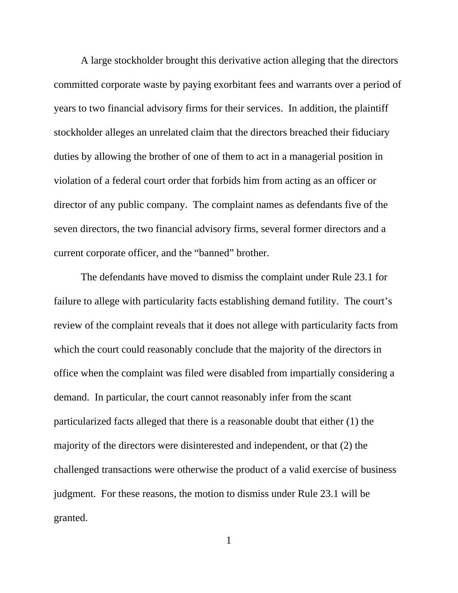A large stockholder brought this derivative action alleging that the directors committed corporate waste by paying exorbitant fees and warrants over a period of years to two financial advisory firms for their services. In addition, the plaintiff stockholder alleges an unrelated claim that the directors breached their fiduciary duties by allowing the brother of one of them to act in a managerial position in violation of a federal court order that forbids him from acting as an officer or director of any public company. The complaint names as defendants five of the seven directors, the two financial advisory firms, several former directors and a current corporate officer, and the "banned" brother.

The defendants have moved to dismiss the complaint under Rule 23.1 for failure to allege with particularity facts establishing demand futility. The court's review of the complaint reveals that it does not allege with particularity facts from which the court could reasonably conclude that the majority of the directors in office when the complaint was filed were disabled from impartially considering a demand. In particular, the court cannot reasonably infer from the scant particularized facts alleged that there is a reasonable doubt that either (1) the majority of the directors were disinterested and independent, or that (2) the challenged transactions were otherwise the product of a valid exercise of business judgment. For these reasons, the motion to dismiss under Rule 23.1 will be granted.

1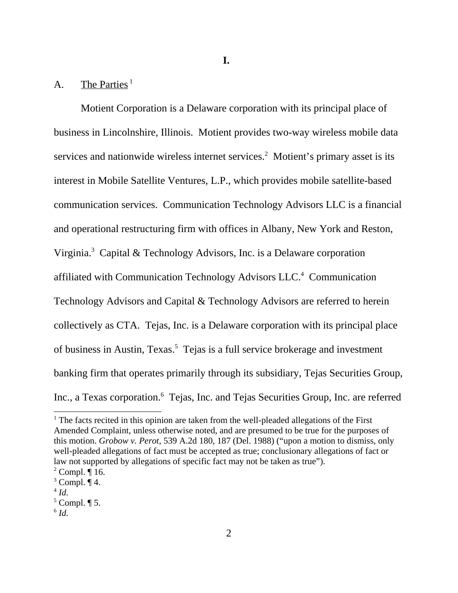## A. The Parties<sup>1</sup>

Motient Corporation is a Delaware corporation with its principal place of business in Lincolnshire, Illinois. Motient provides two-way wireless mobile data services and nationwide wireless internet services.<sup>2</sup> Motient's primary asset is its interest in Mobile Satellite Ventures, L.P., which provides mobile satellite-based communication services. Communication Technology Advisors LLC is a financial and operational restructuring firm with offices in Albany, New York and Reston, Virginia.<sup>3</sup> Capital & Technology Advisors, Inc. is a Delaware corporation affiliated with Communication Technology Advisors LLC.<sup>4</sup> Communication Technology Advisors and Capital & Technology Advisors are referred to herein collectively as CTA. Tejas, Inc. is a Delaware corporation with its principal place of business in Austin, Texas.<sup>5</sup> Tejas is a full service brokerage and investment banking firm that operates primarily through its subsidiary, Tejas Securities Group, Inc., a Texas corporation.<sup>6</sup> Tejas, Inc. and Tejas Securities Group, Inc. are referred

<sup>&</sup>lt;sup>1</sup> The facts recited in this opinion are taken from the well-pleaded allegations of the First Amended Complaint, unless otherwise noted, and are presumed to be true for the purposes of this motion. *Grobow v. Perot*, 539 A.2d 180, 187 (Del. 1988) ("upon a motion to dismiss, only well-pleaded allegations of fact must be accepted as true; conclusionary allegations of fact or law not supported by allegations of specific fact may not be taken as true").

 $2^2$  Compl.  $\P$  16.

 $3$  Compl.  $\P$  4.

 $^4$  *Id.* 

 $<sup>5</sup>$  Compl.  $\P$  5.</sup>

 $\mathbf{H}^6$  *Id.*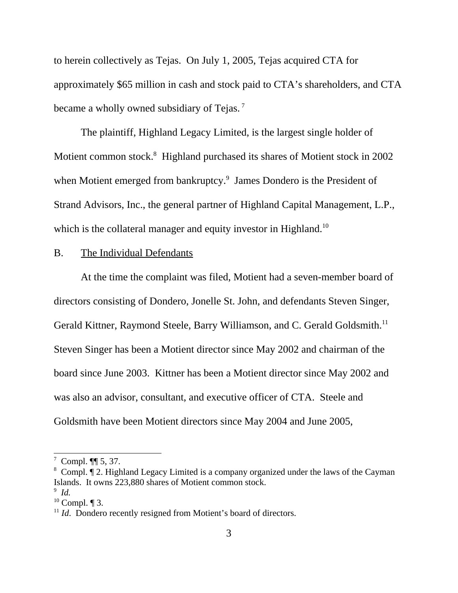to herein collectively as Tejas. On July 1, 2005, Tejas acquired CTA for approximately \$65 million in cash and stock paid to CTA's shareholders, and CTA became a wholly owned subsidiary of Tejas.<sup>7</sup>

The plaintiff, Highland Legacy Limited, is the largest single holder of Motient common stock.<sup>8</sup> Highland purchased its shares of Motient stock in 2002 when Motient emerged from bankruptcy.<sup>9</sup> James Dondero is the President of Strand Advisors, Inc., the general partner of Highland Capital Management, L.P., which is the collateral manager and equity investor in Highland.<sup>10</sup>

## B. The Individual Defendants

At the time the complaint was filed, Motient had a seven-member board of directors consisting of Dondero, Jonelle St. John, and defendants Steven Singer, Gerald Kittner, Raymond Steele, Barry Williamson, and C. Gerald Goldsmith.<sup>11</sup> Steven Singer has been a Motient director since May 2002 and chairman of the board since June 2003. Kittner has been a Motient director since May 2002 and was also an advisor, consultant, and executive officer of CTA. Steele and Goldsmith have been Motient directors since May 2004 and June 2005,

 $7$  Compl.  $\P$  5, 37.

<sup>&</sup>lt;sup>8</sup> Compl. If 2. Highland Legacy Limited is a company organized under the laws of the Cayman Islands. It owns 223,880 shares of Motient common stock.

<sup>9</sup> *Id.* 

 $10$  Compl.  $\P$  3.

<sup>&</sup>lt;sup>11</sup> *Id.* Dondero recently resigned from Motient's board of directors.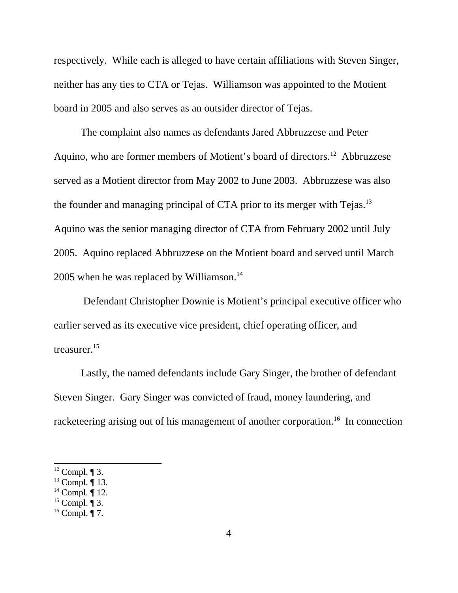respectively. While each is alleged to have certain affiliations with Steven Singer, neither has any ties to CTA or Tejas. Williamson was appointed to the Motient board in 2005 and also serves as an outsider director of Tejas.

The complaint also names as defendants Jared Abbruzzese and Peter Aquino, who are former members of Motient's board of directors.12 Abbruzzese served as a Motient director from May 2002 to June 2003. Abbruzzese was also the founder and managing principal of CTA prior to its merger with Tejas.<sup>13</sup> Aquino was the senior managing director of CTA from February 2002 until July 2005. Aquino replaced Abbruzzese on the Motient board and served until March 2005 when he was replaced by Williamson. $14$ 

 Defendant Christopher Downie is Motient's principal executive officer who earlier served as its executive vice president, chief operating officer, and treasurer.<sup>15</sup>

Lastly, the named defendants include Gary Singer, the brother of defendant Steven Singer. Gary Singer was convicted of fraud, money laundering, and racketeering arising out of his management of another corporation.<sup>16</sup> In connection

 $12$  Compl.  $\P$  3.

 $^{13}$  Compl.  $\overline{9}$  13.

 $14$  Compl.  $\P$  12.

 $15$  Compl.  $\P$  3.

 $16$  Compl. ¶ 7.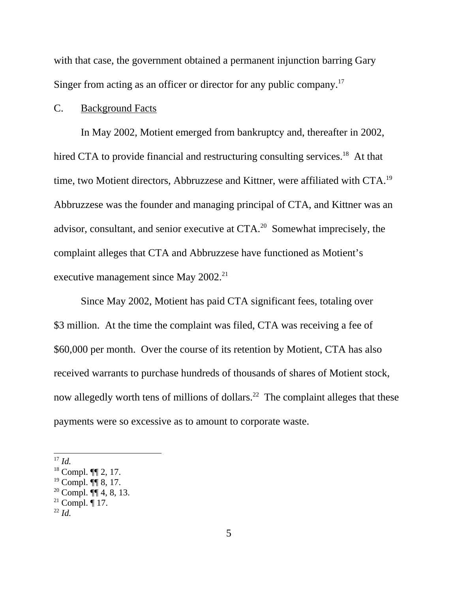with that case, the government obtained a permanent injunction barring Gary Singer from acting as an officer or director for any public company.<sup>17</sup>

#### C. Background Facts

In May 2002, Motient emerged from bankruptcy and, thereafter in 2002, hired CTA to provide financial and restructuring consulting services.<sup>18</sup> At that time, two Motient directors, Abbruzzese and Kittner, were affiliated with CTA.<sup>19</sup> Abbruzzese was the founder and managing principal of CTA, and Kittner was an advisor, consultant, and senior executive at CTA.<sup>20</sup> Somewhat imprecisely, the complaint alleges that CTA and Abbruzzese have functioned as Motient's executive management since May 2002.<sup>21</sup>

Since May 2002, Motient has paid CTA significant fees, totaling over \$3 million. At the time the complaint was filed, CTA was receiving a fee of \$60,000 per month. Over the course of its retention by Motient, CTA has also received warrants to purchase hundreds of thousands of shares of Motient stock, now allegedly worth tens of millions of dollars.<sup>22</sup> The complaint alleges that these payments were so excessive as to amount to corporate waste.

 $17$  *Id.* 

<sup>18</sup> Compl. ¶¶ 2, 17.

 $19$  Compl. ¶[ 8, 17.

 $20$  Compl.  $\P\P$  4, 8, 13.

<sup>&</sup>lt;sup>21</sup> Compl.  $\P$  17.

 $^{22}$  *Id.*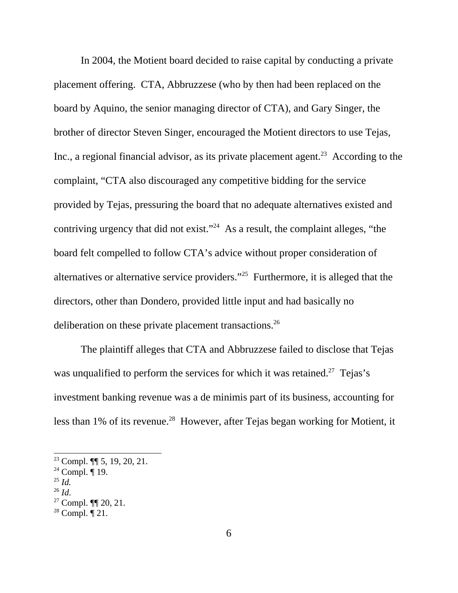In 2004, the Motient board decided to raise capital by conducting a private placement offering. CTA, Abbruzzese (who by then had been replaced on the board by Aquino, the senior managing director of CTA), and Gary Singer, the brother of director Steven Singer, encouraged the Motient directors to use Tejas, Inc., a regional financial advisor, as its private placement agent.<sup>23</sup> According to the complaint, "CTA also discouraged any competitive bidding for the service provided by Tejas, pressuring the board that no adequate alternatives existed and contriving urgency that did not exist."<sup>24</sup> As a result, the complaint alleges, "the board felt compelled to follow CTA's advice without proper consideration of alternatives or alternative service providers."25 Furthermore, it is alleged that the directors, other than Dondero, provided little input and had basically no deliberation on these private placement transactions.<sup>26</sup>

The plaintiff alleges that CTA and Abbruzzese failed to disclose that Tejas was unqualified to perform the services for which it was retained.<sup>27</sup> Tejas's investment banking revenue was a de minimis part of its business, accounting for less than 1% of its revenue.<sup>28</sup> However, after Tejas began working for Motient, it

 $23$  Compl.  $\P\P$  5, 19, 20, 21.

 $24$  Compl. ¶ 19.

 $\frac{25}{26}$  *Id.* 

<sup>&</sup>lt;sup>27</sup> Compl. ¶¶ 20, 21.

 $28$  Compl.  $\P$  21.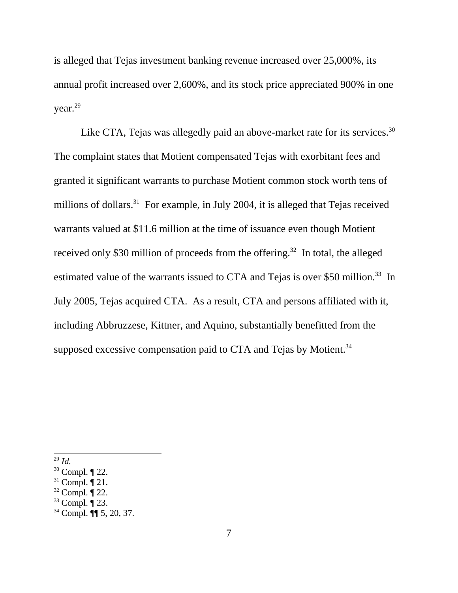is alleged that Tejas investment banking revenue increased over 25,000%, its annual profit increased over 2,600%, and its stock price appreciated 900% in one year.29

Like CTA, Tejas was allegedly paid an above-market rate for its services.<sup>30</sup> The complaint states that Motient compensated Tejas with exorbitant fees and granted it significant warrants to purchase Motient common stock worth tens of millions of dollars.<sup>31</sup> For example, in July 2004, it is alleged that Tejas received warrants valued at \$11.6 million at the time of issuance even though Motient received only \$30 million of proceeds from the offering.<sup>32</sup> In total, the alleged estimated value of the warrants issued to CTA and Tejas is over \$50 million.<sup>33</sup> In July 2005, Tejas acquired CTA. As a result, CTA and persons affiliated with it, including Abbruzzese, Kittner, and Aquino, substantially benefitted from the supposed excessive compensation paid to CTA and Tejas by Motient.<sup>34</sup>

<sup>29</sup> *Id.* 

 $30$  Compl.  $\P$  22.

 $31$  Compl.  $\overline{9}$  21.

 $32$  Compl.  $\overline{9}$  22.

 $33$  Compl.  $\overline{9}$  23.

<sup>34</sup> Compl. ¶¶ 5, 20, 37.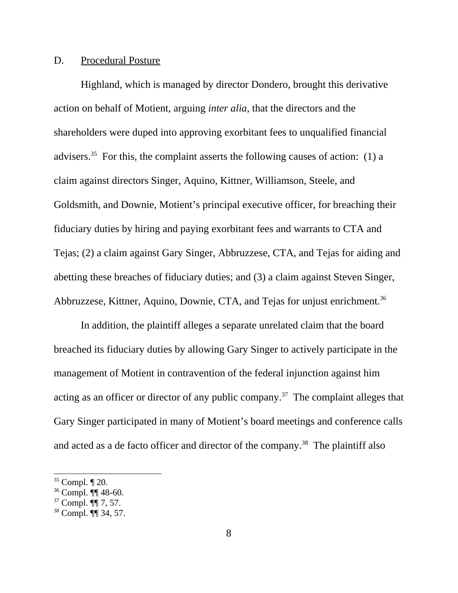## D. Procedural Posture

Highland, which is managed by director Dondero, brought this derivative action on behalf of Motient, arguing *inter alia*, that the directors and the shareholders were duped into approving exorbitant fees to unqualified financial advisers.<sup>35</sup> For this, the complaint asserts the following causes of action: (1) a claim against directors Singer, Aquino, Kittner, Williamson, Steele, and Goldsmith, and Downie, Motient's principal executive officer, for breaching their fiduciary duties by hiring and paying exorbitant fees and warrants to CTA and Tejas; (2) a claim against Gary Singer, Abbruzzese, CTA, and Tejas for aiding and abetting these breaches of fiduciary duties; and (3) a claim against Steven Singer, Abbruzzese, Kittner, Aquino, Downie, CTA, and Tejas for unjust enrichment.<sup>36</sup>

In addition, the plaintiff alleges a separate unrelated claim that the board breached its fiduciary duties by allowing Gary Singer to actively participate in the management of Motient in contravention of the federal injunction against him acting as an officer or director of any public company.37 The complaint alleges that Gary Singer participated in many of Motient's board meetings and conference calls and acted as a de facto officer and director of the company.<sup>38</sup> The plaintiff also

 $35$  Compl.  $\P$  20.

<sup>36</sup> Compl. ¶¶ 48-60.

 $37$  Compl.  $\overline{|\mathbf{q}|}$  7, 57.

<sup>38</sup> Compl. ¶¶ 34, 57.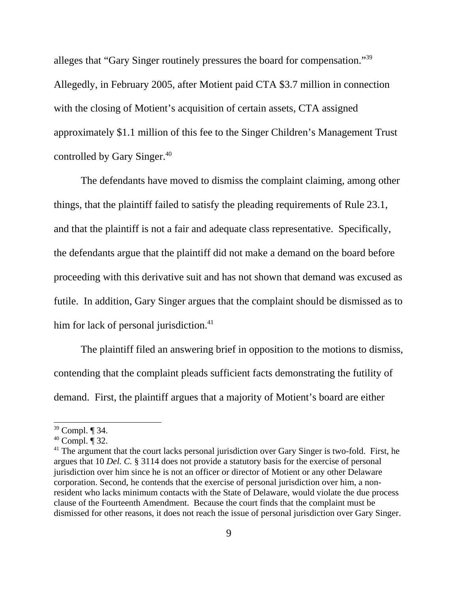alleges that "Gary Singer routinely pressures the board for compensation."39 Allegedly, in February 2005, after Motient paid CTA \$3.7 million in connection with the closing of Motient's acquisition of certain assets, CTA assigned approximately \$1.1 million of this fee to the Singer Children's Management Trust controlled by Gary Singer.<sup>40</sup>

The defendants have moved to dismiss the complaint claiming, among other things, that the plaintiff failed to satisfy the pleading requirements of Rule 23.1, and that the plaintiff is not a fair and adequate class representative. Specifically, the defendants argue that the plaintiff did not make a demand on the board before proceeding with this derivative suit and has not shown that demand was excused as futile. In addition, Gary Singer argues that the complaint should be dismissed as to him for lack of personal jurisdiction.<sup>41</sup>

The plaintiff filed an answering brief in opposition to the motions to dismiss, contending that the complaint pleads sufficient facts demonstrating the futility of demand. First, the plaintiff argues that a majority of Motient's board are either

<sup>39</sup> Compl. ¶ 34.

 $40$  Compl.  $\overline{9}$  32.

<sup>&</sup>lt;sup>41</sup> The argument that the court lacks personal jurisdiction over Gary Singer is two-fold. First, he argues that 10 *Del. C.* § 3114 does not provide a statutory basis for the exercise of personal jurisdiction over him since he is not an officer or director of Motient or any other Delaware corporation. Second, he contends that the exercise of personal jurisdiction over him, a nonresident who lacks minimum contacts with the State of Delaware, would violate the due process clause of the Fourteenth Amendment. Because the court finds that the complaint must be dismissed for other reasons, it does not reach the issue of personal jurisdiction over Gary Singer.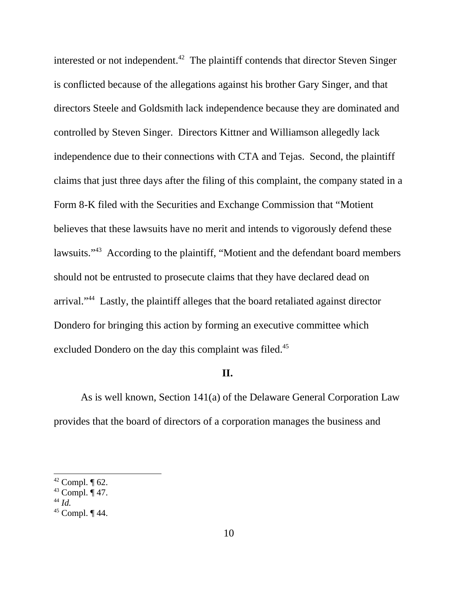interested or not independent.<sup>42</sup> The plaintiff contends that director Steven Singer is conflicted because of the allegations against his brother Gary Singer, and that directors Steele and Goldsmith lack independence because they are dominated and controlled by Steven Singer. Directors Kittner and Williamson allegedly lack independence due to their connections with CTA and Tejas. Second, the plaintiff claims that just three days after the filing of this complaint, the company stated in a Form 8-K filed with the Securities and Exchange Commission that "Motient believes that these lawsuits have no merit and intends to vigorously defend these lawsuits."<sup>43</sup> According to the plaintiff, "Motient and the defendant board members should not be entrusted to prosecute claims that they have declared dead on arrival."44 Lastly, the plaintiff alleges that the board retaliated against director Dondero for bringing this action by forming an executive committee which excluded Dondero on the day this complaint was filed.<sup>45</sup>

#### **II.**

As is well known, Section 141(a) of the Delaware General Corporation Law provides that the board of directors of a corporation manages the business and

 $42$  Compl.  $\P$  62.

 $43$  Compl.  $\P$  47.

<sup>44</sup> *Id.* 

 $45$  Compl.  $\P$  44.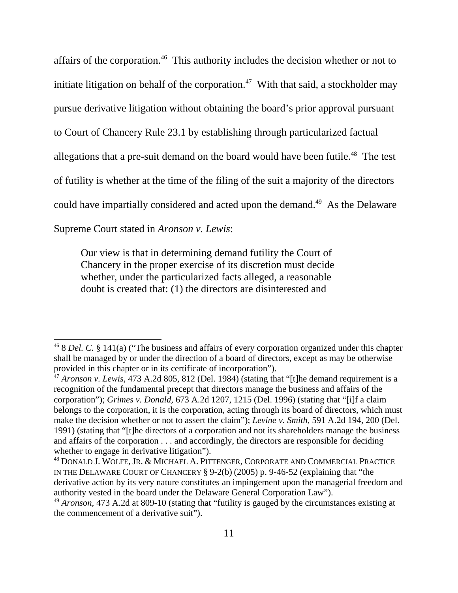affairs of the corporation.46 This authority includes the decision whether or not to initiate litigation on behalf of the corporation.<sup>47</sup> With that said, a stockholder may pursue derivative litigation without obtaining the board's prior approval pursuant to Court of Chancery Rule 23.1 by establishing through particularized factual allegations that a pre-suit demand on the board would have been futile.<sup>48</sup> The test of futility is whether at the time of the filing of the suit a majority of the directors could have impartially considered and acted upon the demand.<sup>49</sup> As the Delaware Supreme Court stated in *Aronson v. Lewis*:

Our view is that in determining demand futility the Court of Chancery in the proper exercise of its discretion must decide whether, under the particularized facts alleged, a reasonable doubt is created that: (1) the directors are disinterested and

<sup>46 8</sup> *Del. C.* § 141(a) ("The business and affairs of every corporation organized under this chapter shall be managed by or under the direction of a board of directors, except as may be otherwise provided in this chapter or in its certificate of incorporation").

<sup>47</sup> *Aronson v. Lewis,* 473 A.2d 805, 812 (Del. 1984) (stating that "[t]he demand requirement is a recognition of the fundamental precept that directors manage the business and affairs of the corporation"); *Grimes v. Donald,* 673 A.2d 1207, 1215 (Del. 1996) (stating that "[i]f a claim belongs to the corporation, it is the corporation, acting through its board of directors, which must make the decision whether or not to assert the claim"); *Levine v. Smith,* 591 A.2d 194, 200 (Del. 1991) (stating that "[t]he directors of a corporation and not its shareholders manage the business and affairs of the corporation . . . and accordingly, the directors are responsible for deciding whether to engage in derivative litigation".

<sup>48</sup> DONALD J. WOLFE, JR. & MICHAEL A. PITTENGER, CORPORATE AND COMMERCIAL PRACTICE IN THE DELAWARE COURT OF CHANCERY § 9-2(b) (2005) p. 9-46-52 (explaining that "the derivative action by its very nature constitutes an impingement upon the managerial freedom and authority vested in the board under the Delaware General Corporation Law").

<sup>49</sup> *Aronson,* 473 A.2d at 809-10 (stating that "futility is gauged by the circumstances existing at the commencement of a derivative suit").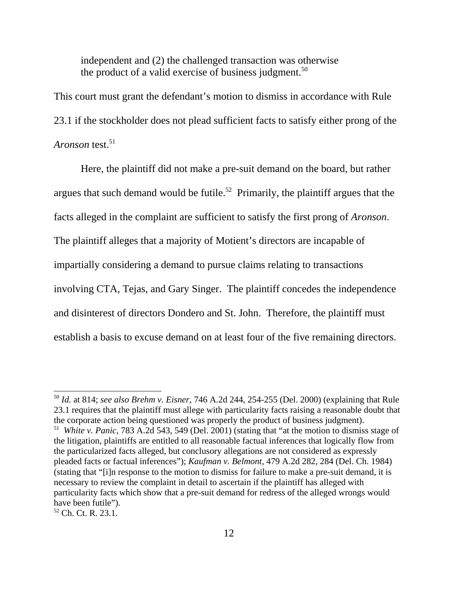independent and (2) the challenged transaction was otherwise the product of a valid exercise of business judgment.<sup>50</sup>

This court must grant the defendant's motion to dismiss in accordance with Rule 23.1 if the stockholder does not plead sufficient facts to satisfy either prong of the *Aronson* test.<sup>51</sup>

Here, the plaintiff did not make a pre-suit demand on the board, but rather argues that such demand would be futile.<sup>52</sup> Primarily, the plaintiff argues that the facts alleged in the complaint are sufficient to satisfy the first prong of *Aronson*. The plaintiff alleges that a majority of Motient's directors are incapable of impartially considering a demand to pursue claims relating to transactions involving CTA, Tejas, and Gary Singer. The plaintiff concedes the independence and disinterest of directors Dondero and St. John. Therefore, the plaintiff must establish a basis to excuse demand on at least four of the five remaining directors.

<sup>50</sup> *Id.* at 814; *see also Brehm v. Eisner*, 746 A.2d 244, 254-255 (Del. 2000) (explaining that Rule 23.1 requires that the plaintiff must allege with particularity facts raising a reasonable doubt that the corporate action being questioned was properly the product of business judgment). 51 *White v. Panic*, 783 A.2d 543, 549 (Del. 2001) (stating that "at the motion to dismiss stage of the litigation, plaintiffs are entitled to all reasonable factual inferences that logically flow from the particularized facts alleged, but conclusory allegations are not considered as expressly pleaded facts or factual inferences"); *Kaufman v. Belmont*, 479 A.2d 282, 284 (Del. Ch. 1984) (stating that "[i]n response to the motion to dismiss for failure to make a pre-suit demand, it is necessary to review the complaint in detail to ascertain if the plaintiff has alleged with particularity facts which show that a pre-suit demand for redress of the alleged wrongs would have been futile").

<sup>52</sup> Ch. Ct. R. 23.1.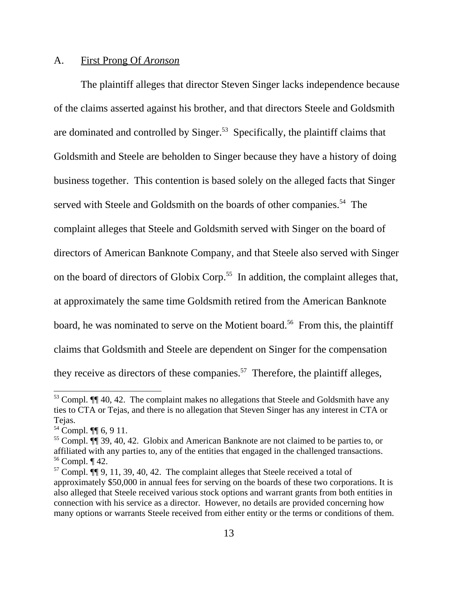#### A. First Prong Of *Aronson*

The plaintiff alleges that director Steven Singer lacks independence because of the claims asserted against his brother, and that directors Steele and Goldsmith are dominated and controlled by Singer.<sup>53</sup> Specifically, the plaintiff claims that Goldsmith and Steele are beholden to Singer because they have a history of doing business together. This contention is based solely on the alleged facts that Singer served with Steele and Goldsmith on the boards of other companies.<sup>54</sup> The complaint alleges that Steele and Goldsmith served with Singer on the board of directors of American Banknote Company, and that Steele also served with Singer on the board of directors of Globix Corp.<sup>55</sup> In addition, the complaint alleges that, at approximately the same time Goldsmith retired from the American Banknote board, he was nominated to serve on the Motient board.<sup>56</sup> From this, the plaintiff claims that Goldsmith and Steele are dependent on Singer for the compensation they receive as directors of these companies.<sup>57</sup> Therefore, the plaintiff alleges,

<sup>&</sup>lt;sup>53</sup> Compl. **¶** 40, 42. The complaint makes no allegations that Steele and Goldsmith have any ties to CTA or Tejas, and there is no allegation that Steven Singer has any interest in CTA or Tejas.

<sup>54</sup> Compl. ¶¶ 6, 9 11.

<sup>55</sup> Compl. ¶¶ 39, 40, 42. Globix and American Banknote are not claimed to be parties to, or affiliated with any parties to, any of the entities that engaged in the challenged transactions.  $56$  Compl.  $\P$  42.

 $57$  Compl.  $\P\P$  9, 11, 39, 40, 42. The complaint alleges that Steele received a total of approximately \$50,000 in annual fees for serving on the boards of these two corporations. It is also alleged that Steele received various stock options and warrant grants from both entities in connection with his service as a director. However, no details are provided concerning how many options or warrants Steele received from either entity or the terms or conditions of them.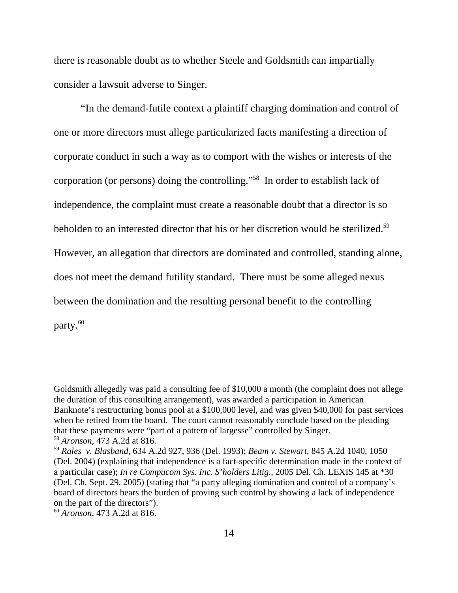there is reasonable doubt as to whether Steele and Goldsmith can impartially consider a lawsuit adverse to Singer.

"In the demand-futile context a plaintiff charging domination and control of one or more directors must allege particularized facts manifesting a direction of corporate conduct in such a way as to comport with the wishes or interests of the corporation (or persons) doing the controlling."58 In order to establish lack of independence, the complaint must create a reasonable doubt that a director is so beholden to an interested director that his or her discretion would be sterilized.<sup>59</sup> However, an allegation that directors are dominated and controlled, standing alone, does not meet the demand futility standard. There must be some alleged nexus between the domination and the resulting personal benefit to the controlling party.<sup>60</sup>

Goldsmith allegedly was paid a consulting fee of \$10,000 a month (the complaint does not allege the duration of this consulting arrangement), was awarded a participation in American Banknote's restructuring bonus pool at a \$100,000 level, and was given \$40,000 for past services when he retired from the board. The court cannot reasonably conclude based on the pleading that these payments were "part of a pattern of largesse" controlled by Singer. <sup>58</sup> *Aronson*, 473 A.2d at 816.

<sup>59</sup> *Rales v. Blasband*, 634 A.2d 927, 936 (Del. 1993); *Beam v. Stewart*, 845 A.2d 1040, 1050 (Del. 2004) (explaining that independence is a fact-specific determination made in the context of a particular case); *In re Compucom Sys. Inc. S'holders Litig.*, 2005 Del. Ch. LEXIS 145 at \*30 (Del. Ch. Sept. 29, 2005) (stating that "a party alleging domination and control of a company's board of directors bears the burden of proving such control by showing a lack of independence on the part of the directors").

<sup>60</sup> *Aronson*, 473 A.2d at 816.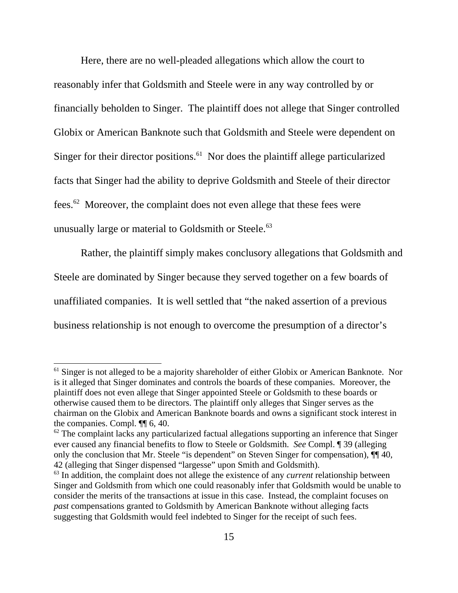Here, there are no well-pleaded allegations which allow the court to reasonably infer that Goldsmith and Steele were in any way controlled by or financially beholden to Singer. The plaintiff does not allege that Singer controlled Globix or American Banknote such that Goldsmith and Steele were dependent on Singer for their director positions.<sup>61</sup> Nor does the plaintiff allege particularized facts that Singer had the ability to deprive Goldsmith and Steele of their director fees.62 Moreover, the complaint does not even allege that these fees were unusually large or material to Goldsmith or Steele.<sup>63</sup>

 Rather, the plaintiff simply makes conclusory allegations that Goldsmith and Steele are dominated by Singer because they served together on a few boards of unaffiliated companies. It is well settled that "the naked assertion of a previous business relationship is not enough to overcome the presumption of a director's

<sup>&</sup>lt;sup>61</sup> Singer is not alleged to be a majority shareholder of either Globix or American Banknote. Nor is it alleged that Singer dominates and controls the boards of these companies. Moreover, the plaintiff does not even allege that Singer appointed Steele or Goldsmith to these boards or otherwise caused them to be directors. The plaintiff only alleges that Singer serves as the chairman on the Globix and American Banknote boards and owns a significant stock interest in the companies. Compl. ¶¶ 6, 40.

 $62$  The complaint lacks any particularized factual allegations supporting an inference that Singer ever caused any financial benefits to flow to Steele or Goldsmith. *See* Compl. ¶ 39 (alleging only the conclusion that Mr. Steele "is dependent" on Steven Singer for compensation),  $\P\P$  40, 42 (alleging that Singer dispensed "largesse" upon Smith and Goldsmith).

<sup>&</sup>lt;sup>63</sup> In addition, the complaint does not allege the existence of any *current* relationship between Singer and Goldsmith from which one could reasonably infer that Goldsmith would be unable to consider the merits of the transactions at issue in this case. Instead, the complaint focuses on *past* compensations granted to Goldsmith by American Banknote without alleging facts suggesting that Goldsmith would feel indebted to Singer for the receipt of such fees.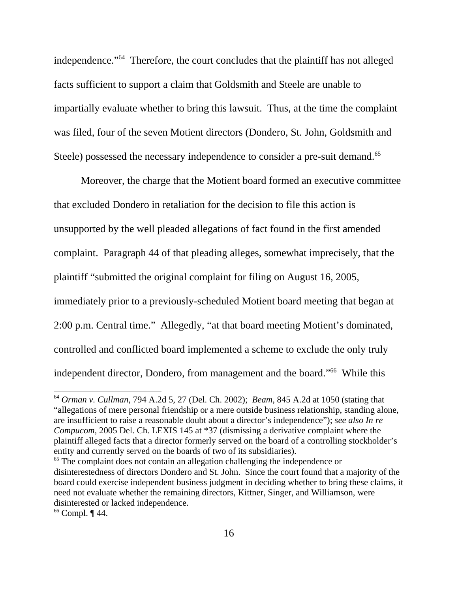independence."64 Therefore, the court concludes that the plaintiff has not alleged facts sufficient to support a claim that Goldsmith and Steele are unable to impartially evaluate whether to bring this lawsuit. Thus, at the time the complaint was filed, four of the seven Motient directors (Dondero, St. John, Goldsmith and Steele) possessed the necessary independence to consider a pre-suit demand.<sup>65</sup>

Moreover, the charge that the Motient board formed an executive committee that excluded Dondero in retaliation for the decision to file this action is unsupported by the well pleaded allegations of fact found in the first amended complaint. Paragraph 44 of that pleading alleges, somewhat imprecisely, that the plaintiff "submitted the original complaint for filing on August 16, 2005, immediately prior to a previously-scheduled Motient board meeting that began at 2:00 p.m. Central time." Allegedly, "at that board meeting Motient's dominated, controlled and conflicted board implemented a scheme to exclude the only truly independent director, Dondero, from management and the board."66 While this

 $66$  Compl.  $\P$  44.

<sup>64</sup> *Orman v. Cullman*, 794 A.2d 5, 27 (Del. Ch. 2002); *Beam*, 845 A.2d at 1050 (stating that "allegations of mere personal friendship or a mere outside business relationship, standing alone, are insufficient to raise a reasonable doubt about a director's independence"); *see also In re Compucom*, 2005 Del. Ch. LEXIS 145 at \*37 (dismissing a derivative complaint where the plaintiff alleged facts that a director formerly served on the board of a controlling stockholder's entity and currently served on the boards of two of its subsidiaries).

<sup>&</sup>lt;sup>65</sup> The complaint does not contain an allegation challenging the independence or disinterestedness of directors Dondero and St. John. Since the court found that a majority of the board could exercise independent business judgment in deciding whether to bring these claims, it need not evaluate whether the remaining directors, Kittner, Singer, and Williamson, were disinterested or lacked independence.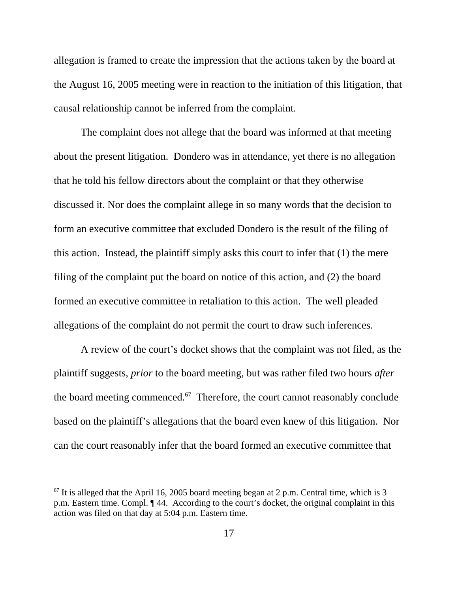allegation is framed to create the impression that the actions taken by the board at the August 16, 2005 meeting were in reaction to the initiation of this litigation, that causal relationship cannot be inferred from the complaint.

The complaint does not allege that the board was informed at that meeting about the present litigation. Dondero was in attendance, yet there is no allegation that he told his fellow directors about the complaint or that they otherwise discussed it. Nor does the complaint allege in so many words that the decision to form an executive committee that excluded Dondero is the result of the filing of this action. Instead, the plaintiff simply asks this court to infer that (1) the mere filing of the complaint put the board on notice of this action, and (2) the board formed an executive committee in retaliation to this action. The well pleaded allegations of the complaint do not permit the court to draw such inferences.

A review of the court's docket shows that the complaint was not filed, as the plaintiff suggests, *prior* to the board meeting, but was rather filed two hours *after* the board meeting commenced. $67$  Therefore, the court cannot reasonably conclude based on the plaintiff's allegations that the board even knew of this litigation. Nor can the court reasonably infer that the board formed an executive committee that

 $67$  It is alleged that the April 16, 2005 board meeting began at 2 p.m. Central time, which is 3 p.m. Eastern time. Compl. ¶ 44. According to the court's docket, the original complaint in this action was filed on that day at 5:04 p.m. Eastern time.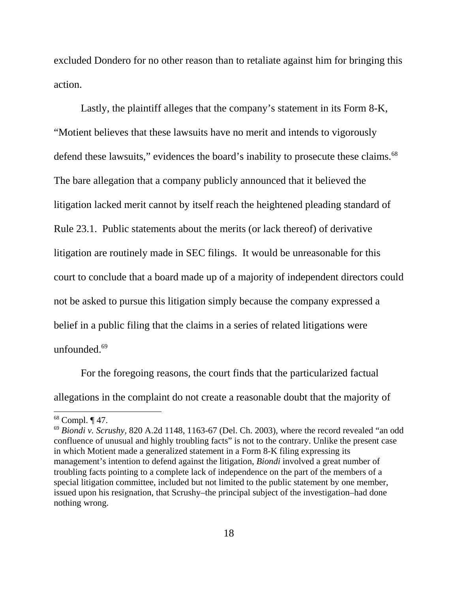excluded Dondero for no other reason than to retaliate against him for bringing this action.

Lastly, the plaintiff alleges that the company's statement in its Form 8-K, "Motient believes that these lawsuits have no merit and intends to vigorously defend these lawsuits," evidences the board's inability to prosecute these claims.<sup>68</sup> The bare allegation that a company publicly announced that it believed the litigation lacked merit cannot by itself reach the heightened pleading standard of Rule 23.1. Public statements about the merits (or lack thereof) of derivative litigation are routinely made in SEC filings. It would be unreasonable for this court to conclude that a board made up of a majority of independent directors could not be asked to pursue this litigation simply because the company expressed a belief in a public filing that the claims in a series of related litigations were unfounded.<sup>69</sup>

For the foregoing reasons, the court finds that the particularized factual allegations in the complaint do not create a reasonable doubt that the majority of

 $68$  Compl.  $\P$  47.

<sup>69</sup> *Biondi v. Scrushy,* 820 A.2d 1148, 1163-67 (Del. Ch. 2003), where the record revealed "an odd confluence of unusual and highly troubling facts" is not to the contrary. Unlike the present case in which Motient made a generalized statement in a Form 8-K filing expressing its management's intention to defend against the litigation, *Biondi* involved a great number of troubling facts pointing to a complete lack of independence on the part of the members of a special litigation committee, included but not limited to the public statement by one member, issued upon his resignation, that Scrushy–the principal subject of the investigation–had done nothing wrong.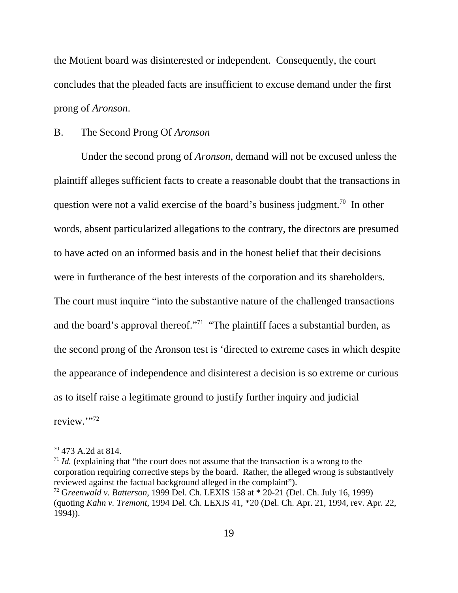the Motient board was disinterested or independent. Consequently, the court concludes that the pleaded facts are insufficient to excuse demand under the first prong of *Aronson*.

### B. The Second Prong Of *Aronson*

Under the second prong of *Aronson*, demand will not be excused unless the plaintiff alleges sufficient facts to create a reasonable doubt that the transactions in question were not a valid exercise of the board's business judgment.<sup>70</sup> In other words, absent particularized allegations to the contrary, the directors are presumed to have acted on an informed basis and in the honest belief that their decisions were in furtherance of the best interests of the corporation and its shareholders. The court must inquire "into the substantive nature of the challenged transactions and the board's approval thereof."<sup>71</sup> "The plaintiff faces a substantial burden, as the second prong of the Aronson test is 'directed to extreme cases in which despite the appearance of independence and disinterest a decision is so extreme or curious as to itself raise a legitimate ground to justify further inquiry and judicial review."72

<sup>70 473</sup> A.2d at 814.

 $1/7$  *Id.* (explaining that "the court does not assume that the transaction is a wrong to the corporation requiring corrective steps by the board. Rather, the alleged wrong is substantively reviewed against the factual background alleged in the complaint").

<sup>72</sup> G*reenwald v. Batterson*, 1999 Del. Ch. LEXIS 158 at \* 20-21 (Del. Ch. July 16, 1999) (quoting *Kahn v. Tremont*, 1994 Del. Ch. LEXIS 41, \*20 (Del. Ch. Apr. 21, 1994, rev. Apr. 22, 1994)).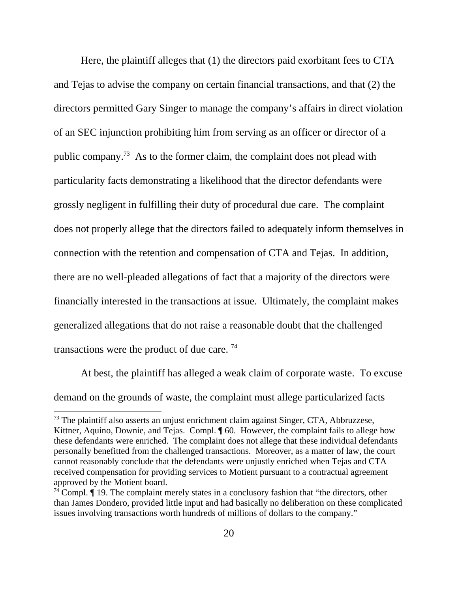Here, the plaintiff alleges that (1) the directors paid exorbitant fees to CTA and Tejas to advise the company on certain financial transactions, and that (2) the directors permitted Gary Singer to manage the company's affairs in direct violation of an SEC injunction prohibiting him from serving as an officer or director of a public company.73 As to the former claim, the complaint does not plead with particularity facts demonstrating a likelihood that the director defendants were grossly negligent in fulfilling their duty of procedural due care. The complaint does not properly allege that the directors failed to adequately inform themselves in connection with the retention and compensation of CTA and Tejas. In addition, there are no well-pleaded allegations of fact that a majority of the directors were financially interested in the transactions at issue. Ultimately, the complaint makes generalized allegations that do not raise a reasonable doubt that the challenged transactions were the product of due care. 74

At best, the plaintiff has alleged a weak claim of corporate waste. To excuse demand on the grounds of waste, the complaint must allege particularized facts

 $73$  The plaintiff also asserts an unjust enrichment claim against Singer, CTA, Abbruzzese, Kittner, Aquino, Downie, and Tejas. Compl. ¶ 60. However, the complaint fails to allege how these defendants were enriched. The complaint does not allege that these individual defendants personally benefitted from the challenged transactions. Moreover, as a matter of law, the court cannot reasonably conclude that the defendants were unjustly enriched when Tejas and CTA received compensation for providing services to Motient pursuant to a contractual agreement approved by the Motient board.

 $74$  Compl.  $\P$  19. The complaint merely states in a conclusory fashion that "the directors, other than James Dondero, provided little input and had basically no deliberation on these complicated issues involving transactions worth hundreds of millions of dollars to the company."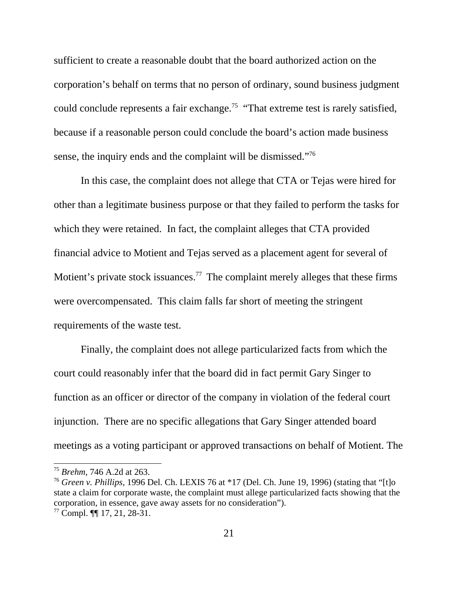sufficient to create a reasonable doubt that the board authorized action on the corporation's behalf on terms that no person of ordinary, sound business judgment could conclude represents a fair exchange.<sup>75</sup> "That extreme test is rarely satisfied, because if a reasonable person could conclude the board's action made business sense, the inquiry ends and the complaint will be dismissed."<sup>76</sup>

In this case, the complaint does not allege that CTA or Tejas were hired for other than a legitimate business purpose or that they failed to perform the tasks for which they were retained. In fact, the complaint alleges that CTA provided financial advice to Motient and Tejas served as a placement agent for several of Motient's private stock issuances.<sup>77</sup> The complaint merely alleges that these firms were overcompensated. This claim falls far short of meeting the stringent requirements of the waste test.

 Finally, the complaint does not allege particularized facts from which the court could reasonably infer that the board did in fact permit Gary Singer to function as an officer or director of the company in violation of the federal court injunction. There are no specific allegations that Gary Singer attended board meetings as a voting participant or approved transactions on behalf of Motient. The

<sup>75</sup> *Brehm*, 746 A.2d at 263.

<sup>76</sup> *Green v. Phillips*, 1996 Del. Ch. LEXIS 76 at \*17 (Del. Ch. June 19, 1996) (stating that "[t]o state a claim for corporate waste, the complaint must allege particularized facts showing that the corporation, in essence, gave away assets for no consideration").

 $77$  Compl.  $\P\P$  17, 21, 28-31.